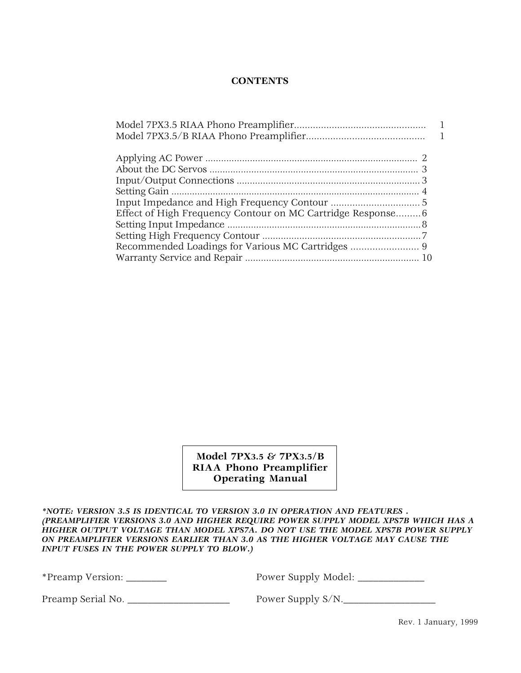### **CONTENTS**

**Model 7PX3.5 & 7PX3.5/B RIAA Phono Preamplifier Operating Manual**

*\*NOTE: VERSION 3.5 IS IDENTICAL TO VERSION 3.0 IN OPERATION AND FEATURES . (PREAMPLIFIER VERSIONS 3.0 AND HIGHER REQUIRE POWER SUPPLY MODEL XPS7B WHICH HAS A HIGHER OUTPUT VOLTAGE THAN MODEL XPS7A. DO NOT USE THE MODEL XPS7B POWER SUPPLY ON PREAMPLIFIER VERSIONS EARLIER THAN 3.0 AS THE HIGHER VOLTAGE MAY CAUSE THE INPUT FUSES IN THE POWER SUPPLY TO BLOW.)*

\*Preamp Version: \_\_\_\_\_\_\_\_ Power Supply Model: \_\_\_\_\_\_\_\_\_\_\_\_\_

Preamp Serial No. \_\_\_\_\_\_\_\_\_\_\_\_\_\_\_\_\_\_\_\_ Power Supply S/N.\_\_\_\_\_\_\_\_\_\_\_\_\_\_\_\_\_\_

Rev. 1 January, 1999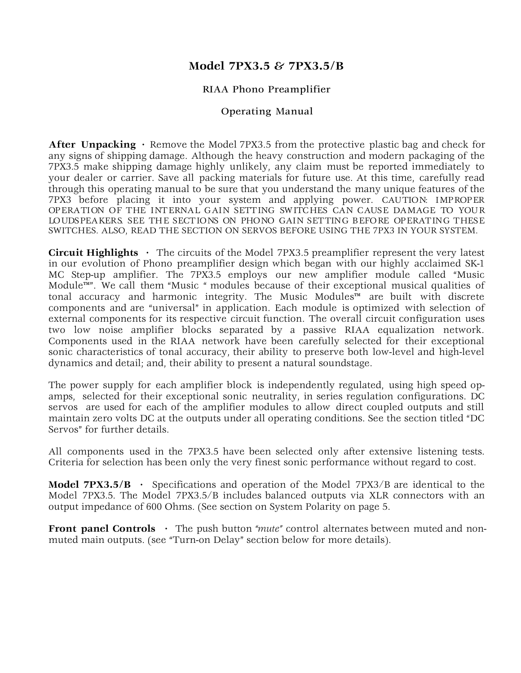# **Model 7PX3.5 & 7PX3.5/B**

# RIAA Phono Preamplifier

# Operating Manual

After Unpacking · Remove the Model 7PX3.5 from the protective plastic bag and check for any signs of shipping damage. Although the heavy construction and modern packaging of the 7PX3.5 make shipping damage highly unlikely, any claim must be reported immediately to your dealer or carrier. Save all packing materials for future use. At this time, carefully read through this operating manual to be sure that you understand the many unique features of the 7PX3 before placing it into your system and applying power. CAUTION: IMPROPER OPERATION OF THE INTERNAL GAIN SETTING SWITCHES CAN CAUSE DAMAGE TO YOUR LOUDSPEAKERS. SEE THE SECTIONS ON PHONO GAIN SETTING BEFORE OPERATING THESE SWITCHES. ALSO, READ THE SECTION ON SERVOS BEFORE USING THE 7PX3 IN YOUR SYSTEM.

**Circuit Highlights ·** The circuits of the Model 7PX3.5 preamplifier represent the very latest in our evolution of Phono preamplifier design which began with our highly acclaimed SK-1 MC Step-up amplifier. The 7PX3.5 employs our new amplifier module called "Music Module™". We call them "Music " modules because of their exceptional musical qualities of tonal accuracy and harmonic integrity. The Music Modules™ are built with discrete components and are "universal" in application. Each module is optimized with selection of external components for its respective circuit function. The overall circuit configuration uses two low noise amplifier blocks separated by a passive RIAA equalization network. Components used in the RIAA network have been carefully selected for their exceptional sonic characteristics of tonal accuracy, their ability to preserve both low-level and high-level dynamics and detail; and, their ability to present a natural soundstage.

The power supply for each amplifier block is independently regulated, using high speed opamps, selected for their exceptional sonic neutrality, in series regulation configurations. DC servos are used for each of the amplifier modules to allow direct coupled outputs and still maintain zero volts DC at the outputs under all operating conditions. See the section titled "DC Servos" for further details.

All components used in the 7PX3.5 have been selected only after extensive listening tests. Criteria for selection has been only the very finest sonic performance without regard to cost.

**Model 7PX3.5/B ·** Specifications and operation of the Model 7PX3/B are identical to the Model 7PX3.5. The Model 7PX3.5/B includes balanced outputs via XLR connectors with an output impedance of 600 Ohms. (See section on System Polarity on page 5.

**Front panel Controls** • The push button "*mute"* control alternates between muted and nonmuted main outputs. (see "Turn-on Delay" section below for more details).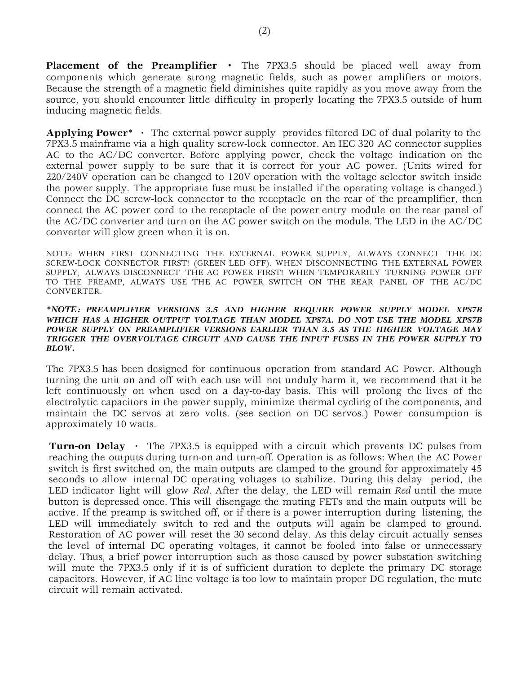**Placement of the Preamplifier ·** The 7PX3.5 should be placed well away from components which generate strong magnetic fields, such as power amplifiers or motors. Because the strength of a magnetic field diminishes quite rapidly as you move away from the source, you should encounter little difficulty in properly locating the 7PX3.5 outside of hum inducing magnetic fields.

**Applying Power\* ·** The external power supply provides filtered DC of dual polarity to the 7PX3.5 mainframe via a high quality screw-lock connector. An IEC 320 AC connector supplies AC to the AC/DC converter. Before applying power, check the voltage indication on the external power supply to be sure that it is correct for your AC power. (Units wired for 220/240V operation can be changed to 120V operation with the voltage selector switch inside the power supply. The appropriate fuse must be installed if the operating voltage is changed.) Connect the DC screw-lock connector to the receptacle on the rear of the preamplifier, then connect the AC power cord to the receptacle of the power entry module on the rear panel of the AC/DC converter and turn on the AC power switch on the module. The LED in the AC/DC converter will glow green when it is on.

NOTE: WHEN FIRST CONNECTING THE EXTERNAL POWER SUPPLY, ALWAYS CONNECT THE DC SCREW-LOCK CONNECTOR FIRST! (GREEN LED OFF). WHEN DISCONNECTING THE EXTERNAL POWER SUPPLY, ALWAYS DISCONNECT THE AC POWER FIRST! WHEN TEMPORARILY TURNING POWER OFF TO THE PREAMP, ALWAYS USE THE AC POWER SWITCH ON THE REAR PANEL OF THE AC/DC CONVERTER.

#### *\*NOTE: PREAMPLIFIER VERSIONS 3.5 AND HIGHER REQUIRE POWER SUPPLY MODEL XPS7B WHICH HAS A HIGHER OUTPUT VOLTAGE THAN MODEL XPS7A. DO NOT USE THE MODEL XPS7B*  POWER SUPPLY ON PREAMPLIFIER VERSIONS EARLIER THAN 3.5 AS THE HIGHER VOLTAGE MAY *TRIGGER THE OVERVOLTAGE CIRCUIT AND CAUSE THE INPUT FUSES IN THE POWER SUPPLY TO BLOW.*

The 7PX3.5 has been designed for continuous operation from standard AC Power. Although turning the unit on and off with each use will not unduly harm it, we recommend that it be left continuously on when used on a day-to-day basis. This will prolong the lives of the electrolytic capacitors in the power supply, minimize thermal cycling of the components, and maintain the DC servos at zero volts. (see section on DC servos.) Power consumption is approximately 10 watts.

**Turn-on Delay ·** The 7PX3.5 is equipped with a circuit which prevents DC pulses from reaching the outputs during turn-on and turn-off. Operation is as follows: When the AC Power switch is first switched on, the main outputs are clamped to the ground for approximately 45 seconds to allow internal DC operating voltages to stabilize. During this delay period, the LED indicator light will glow *Red*. After the delay, the LED will remain *Red* until the mute button is depressed once. This will disengage the muting FETs and the main outputs will be active. If the preamp is switched off, or if there is a power interruption during listening, the LED will immediately switch to red and the outputs will again be clamped to ground. Restoration of AC power will reset the 30 second delay. As this delay circuit actually senses the level of internal DC operating voltages, it cannot be fooled into false or unnecessary delay. Thus, a brief power interruption such as those caused by power substation switching will mute the 7PX3.5 only if it is of sufficient duration to deplete the primary DC storage capacitors. However, if AC line voltage is too low to maintain proper DC regulation, the mute circuit will remain activated.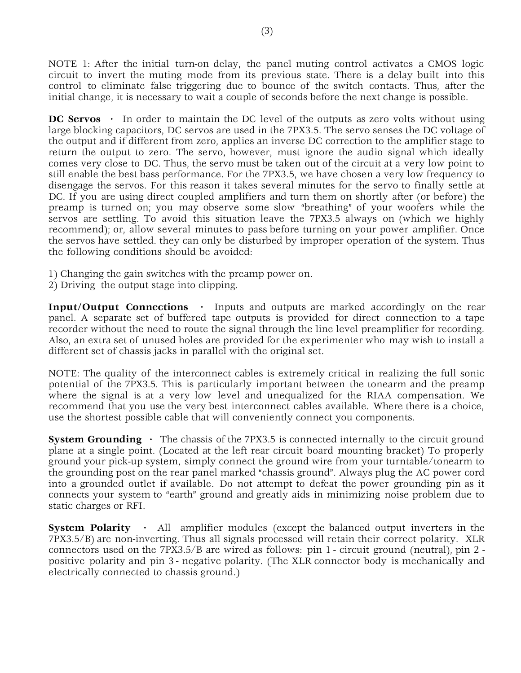NOTE 1: After the initial turn-on delay, the panel muting control activates a CMOS logic circuit to invert the muting mode from its previous state. There is a delay built into this control to eliminate false triggering due to bounce of the switch contacts. Thus, after the initial change, it is necessary to wait a couple of seconds before the next change is possible.

**DC Servos** • In order to maintain the DC level of the outputs as zero volts without using large blocking capacitors, DC servos are used in the 7PX3.5. The servo senses the DC voltage of the output and if different from zero, applies an inverse DC correction to the amplifier stage to return the output to zero. The servo, however, must ignore the audio signal which ideally comes very close to DC. Thus, the servo must be taken out of the circuit at a very low point to still enable the best bass performance. For the 7PX3.5, we have chosen a very low frequency to disengage the servos. For this reason it takes several minutes for the servo to finally settle at DC. If you are using direct coupled amplifiers and turn them on shortly after (or before) the preamp is turned on; you may observe some slow "breathing" of your woofers while the servos are settling. To avoid this situation leave the 7PX3.5 always on (which we highly recommend); or, allow several minutes to pass before turning on your power amplifier. Once the servos have settled. they can only be disturbed by improper operation of the system. Thus the following conditions should be avoided:

- 1) Changing the gain switches with the preamp power on.
- 2) Driving the output stage into clipping.

**Input/Output Connections ·** Inputs and outputs are marked accordingly on the rear panel. A separate set of buffered tape outputs is provided for direct connection to a tape recorder without the need to route the signal through the line level preamplifier for recording. Also, an extra set of unused holes are provided for the experimenter who may wish to install a different set of chassis jacks in parallel with the original set.

NOTE: The quality of the interconnect cables is extremely critical in realizing the full sonic potential of the 7PX3.5. This is particularly important between the tonearm and the preamp where the signal is at a very low level and unequalized for the RIAA compensation. We recommend that you use the very best interconnect cables available. Where there is a choice, use the shortest possible cable that will conveniently connect you components.

**System Grounding** • The chassis of the 7PX3.5 is connected internally to the circuit ground plane at a single point. (Located at the left rear circuit board mounting bracket) To properly ground your pick-up system, simply connect the ground wire from your turntable/tonearm to the grounding post on the rear panel marked "chassis ground". Always plug the AC power cord into a grounded outlet if available. Do not attempt to defeat the power grounding pin as it connects your system to "earth" ground and greatly aids in minimizing noise problem due to static charges or RFI.

**System Polarity** • All amplifier modules (except the balanced output inverters in the 7PX3.5/B) are non-inverting. Thus all signals processed will retain their correct polarity. XLR connectors used on the 7PX3.5/B are wired as follows: pin 1 - circuit ground (neutral), pin 2 positive polarity and pin 3 - negative polarity. (The XLR connector body is mechanically and electrically connected to chassis ground.)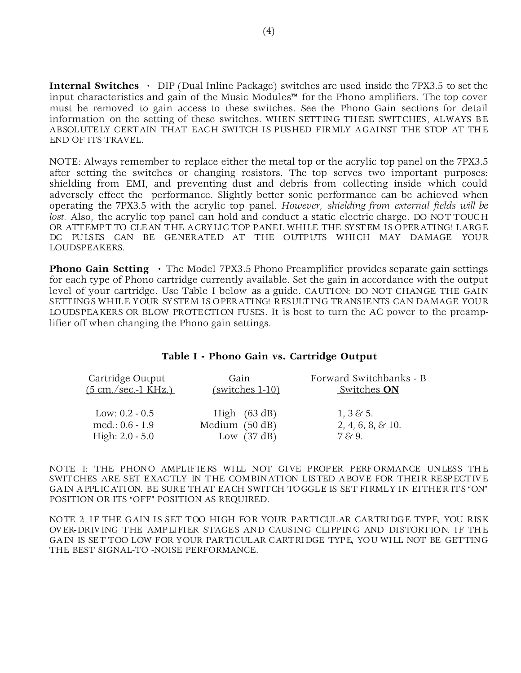**Internal Switches ·** DIP (Dual Inline Package) switches are used inside the 7PX3.5 to set the input characteristics and gain of the Music Modules™ for the Phono amplifiers. The top cover must be removed to gain access to these switches. See the Phono Gain sections for detail information on the setting of these switches. WHEN SETTING THESE SWITCHES, ALWAYS BE ABSOLUTELY CERTAIN THAT EACH SWITCH IS PUSHED FIRMLY AGAINST THE STOP AT THE END OF ITS TRAVEL.

NOTE: Always remember to replace either the metal top or the acrylic top panel on the 7PX3.5 after setting the switches or changing resistors. The top serves two important purposes: shielding from EMI, and preventing dust and debris from collecting inside which could adversely effect the performance. Slightly better sonic performance can be achieved when operating the 7PX3.5 with the acrylic top panel. *However, shielding from external fields will be lost.* Also, the acrylic top panel can hold and conduct a static electric charge. DO NOT TOUCH OR ATTEMPT TO CLEAN THE ACRYLIC TOP PANEL WHILE THE SYSTEM IS OPERATING! LARGE DC PULSES CAN BE GENERATED AT THE OUTPUTS WHICH MAY DAMAGE YOUR LOUDSPEAKERS.

**Phono Gain Setting** • The Model 7PX3.5 Phono Preamplifier provides separate gain settings for each type of Phono cartridge currently available. Set the gain in accordance with the output level of your cartridge. Use Table I below as a guide. CAUTION: DO NOT CHANGE THE GAIN SETTINGS WHILE YOUR SYSTEM IS OPERATING! RESULTING TRANSIENTS CAN DAMAGE YOUR LOUDSPEAKERS OR BLOW PROTECTION FUSES. It is best to turn the AC power to the preamplifier off when changing the Phono gain settings.

#### **Table I - Phono Gain vs. Cartridge Output**

| Cartridge Output    | Gain              | Forward Switchbanks - B |
|---------------------|-------------------|-------------------------|
| (5 cm./sec.-1 KHz.) | $(switches 1-10)$ | Switches ON             |
| Low: $0.2 - 0.5$    | High $(63 dB)$    | $1, 3 \& 5.$            |
| med.: $0.6 - 1.9$   | Medium (50 dB)    | 2, 4, 6, 8, 8, 10.      |
| High: $2.0 - 5.0$   | Low $(37 dB)$     | 7 & 9.                  |

NOTE 1: THE PHONO AMPLIFIERS WILL NOT GIVE PROPER PERFORMANCE UNLESS THE SWITCHES ARE SET EXACTLY IN THE COMBINATION LISTED ABOVE FOR THEIR RESPECTIVE GAIN APPLICATION. BE SURE THAT EACH SWITCH TOGGLE IS SET FIRMLY IN EITHER ITS "ON" POSITION OR ITS "OFF" POSITION AS REQUIRED.

NOTE 2: IF THE GAIN IS SET TOO HIGH FOR YOUR PARTICULAR CARTRIDGE TYPE, YOU RISK OVER-DRIVING THE AMPLIFIER STAGES AND CAUSING CLIPPING AND DISTORTION. IF THE GAIN IS SET TOO LOW FOR YOUR PARTICULAR CARTRIDGE TYPE, YOU WILL NOT BE GETTING THE BEST SIGNAL-TO -NOISE PERFORMANCE.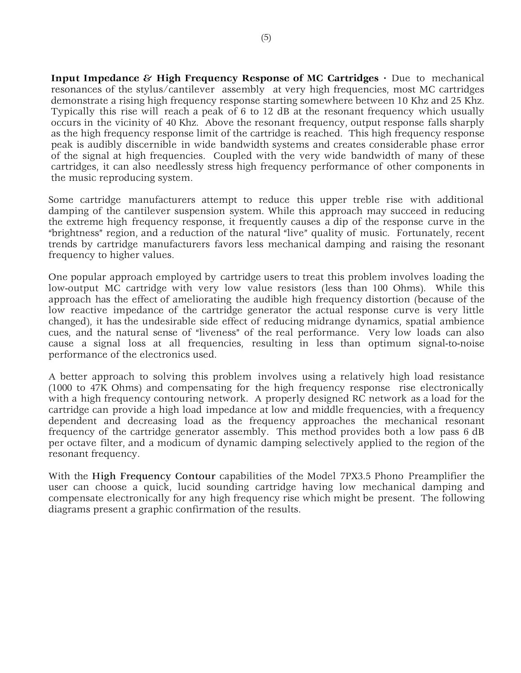**Input Impedance & High Frequency Response of MC Cartridges · Due to mechanical** resonances of the stylus/cantilever assembly at very high frequencies, most MC cartridges demonstrate a rising high frequency response starting somewhere between 10 Khz and 25 Khz. Typically this rise will reach a peak of 6 to 12 dB at the resonant frequency which usually occurs in the vicinity of 40 Khz. Above the resonant frequency, output response falls sharply as the high frequency response limit of the cartridge is reached. This high frequency response peak is audibly discernible in wide bandwidth systems and creates considerable phase error of the signal at high frequencies. Coupled with the very wide bandwidth of many of these cartridges, it can also needlessly stress high frequency performance of other components in the music reproducing system.

Some cartridge manufacturers attempt to reduce this upper treble rise with additional damping of the cantilever suspension system. While this approach may succeed in reducing the extreme high frequency response, it frequently causes a dip of the response curve in the "brightness" region, and a reduction of the natural "live" quality of music. Fortunately, recent trends by cartridge manufacturers favors less mechanical damping and raising the resonant frequency to higher values.

One popular approach employed by cartridge users to treat this problem involves loading the low-output MC cartridge with very low value resistors (less than 100 Ohms). While this approach has the effect of ameliorating the audible high frequency distortion (because of the low reactive impedance of the cartridge generator the actual response curve is very little changed), it has the undesirable side effect of reducing midrange dynamics, spatial ambience cues, and the natural sense of "liveness" of the real performance. Very low loads can also cause a signal loss at all frequencies, resulting in less than optimum signal-to-noise performance of the electronics used.

A better approach to solving this problem involves using a relatively high load resistance (1000 to 47K Ohms) and compensating for the high frequency response rise electronically with a high frequency contouring network. A properly designed RC network as a load for the cartridge can provide a high load impedance at low and middle frequencies, with a frequency dependent and decreasing load as the frequency approaches the mechanical resonant frequency of the cartridge generator assembly. This method provides both a low pass 6 dB per octave filter, and a modicum of dynamic damping selectively applied to the region of the resonant frequency.

With the High Frequency Contour capabilities of the Model 7PX3.5 Phono Preamplifier the user can choose a quick, lucid sounding cartridge having low mechanical damping and compensate electronically for any high frequency rise which might be present. The following diagrams present a graphic confirmation of the results.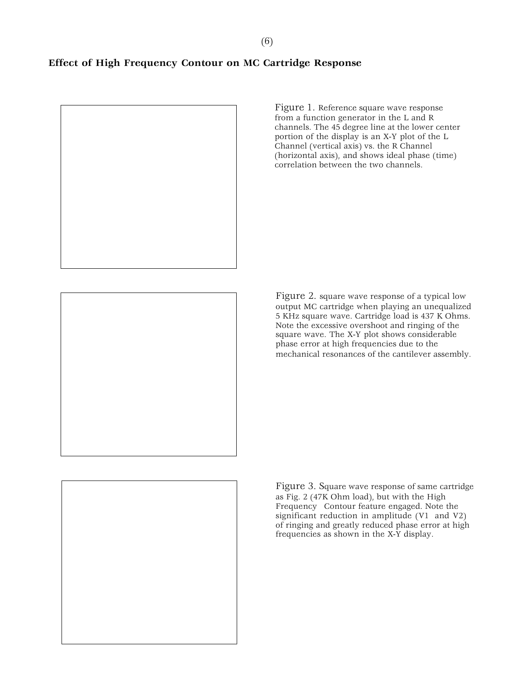Figure 1. Reference square wave response from a function generator in the L and R channels. The 45 degree line at the lower center portion of the display is an X-Y plot of the L Channel (vertical axis) vs. the R Channel (horizontal axis), and shows ideal phase (time) correlation between the two channels.

Figure 2. square wave response of a typical low output MC cartridge when playing an unequalized 5 KHz square wave. Cartridge load is 437 K Ohms. Note the excessive overshoot and ringing of the square wave. The X-Y plot shows considerable phase error at high frequencies due to the mechanical resonances of the cantilever assembly.

Figure 3. Square wave response of same cartridge as Fig. 2 (47K Ohm load), but with the High Frequency Contour feature engaged. Note the significant reduction in amplitude (V1 and V2) of ringing and greatly reduced phase error at high frequencies as shown in the X-Y display.

# **Effect of High Frequency Contour on MC Cartridge Response**



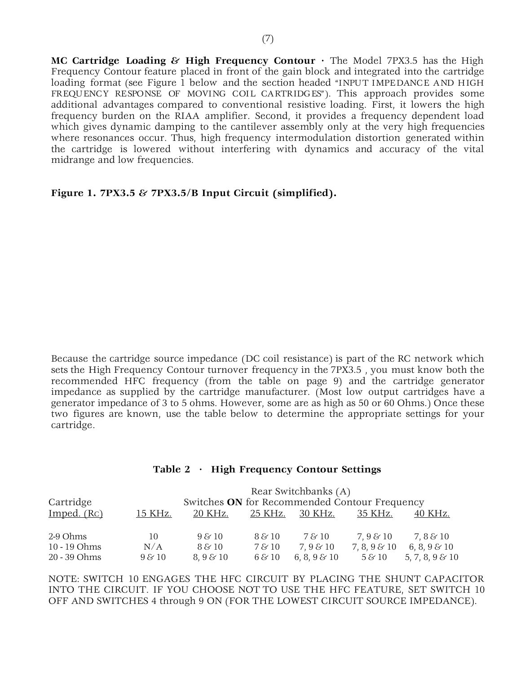**MC Cartridge Loading & High Frequency Contour ·** The Model 7PX3.5 has the High Frequency Contour feature placed in front of the gain block and integrated into the cartridge loading format (see Figure 1 below and the section headed "INPUT IMPEDANCE AND HIGH FREQUENCY RESPONSE OF MOVING COIL CARTRIDGES"). This approach provides some additional advantages compared to conventional resistive loading. First, it lowers the high frequency burden on the RIAA amplifier. Second, it provides a frequency dependent load which gives dynamic damping to the cantilever assembly only at the very high frequencies where resonances occur. Thus, high frequency intermodulation distortion generated within the cartridge is lowered without interfering with dynamics and accuracy of the vital midrange and low frequencies.

**Figure 1. 7PX3.5 & 7PX3.5/B Input Circuit (simplified).**

Because the cartridge source impedance (DC coil resistance) is part of the RC network which sets the High Frequency Contour turnover frequency in the 7PX3.5 , you must know both the recommended HFC frequency (from the table on page 9) and the cartridge generator impedance as supplied by the cartridge manufacturer. (Most low output cartridges have a generator impedance of 3 to 5 ohms. However, some are as high as 50 or 60 Ohms.) Once these two figures are known, use the table below to determine the appropriate settings for your cartridge.

### **Table 2 · High Frequency Contour Settings**

|              |             |                                               |                      | Rear Switchbanks (A) |              |                    |
|--------------|-------------|-----------------------------------------------|----------------------|----------------------|--------------|--------------------|
| Cartridge    |             | Switches ON for Recommended Contour Frequency |                      |                      |              |                    |
| Imped. (Rc)  | 15 KHz.     | 20 KHz.                                       | 25 KHz.              | 30 KHz.              | 35 KHz.      | 40 KHz.            |
| 2-9 Ohms     | 10          | 98/10                                         | $8\,\mathrm{\&}\,10$ | 7 & 10               | 7,9 & 10     | 7,8 & 10           |
| 10 - 19 Ohms | N/A         | $8\,\&\,10$                                   | 7 & 10               | 7,9 & 10             | 7, 8, 9 & 10 | 6, 8, 9 $\&$ 10    |
| 20 - 39 Ohms | $9\,\&\,10$ | $8,9 \& 10$                                   | 6 & 10               | 6, 8, 9 $\&$ 10      | 5 & 10       | 5, 7, 8, 9 $\&$ 10 |

NOTE: SWITCH 10 ENGAGES THE HFC CIRCUIT BY PLACING THE SHUNT CAPACITOR INTO THE CIRCUIT. IF YOU CHOOSE NOT TO USE THE HFC FEATURE, SET SWITCH 10 OFF AND SWITCHES 4 through 9 ON (FOR THE LOWEST CIRCUIT SOURCE IMPEDANCE).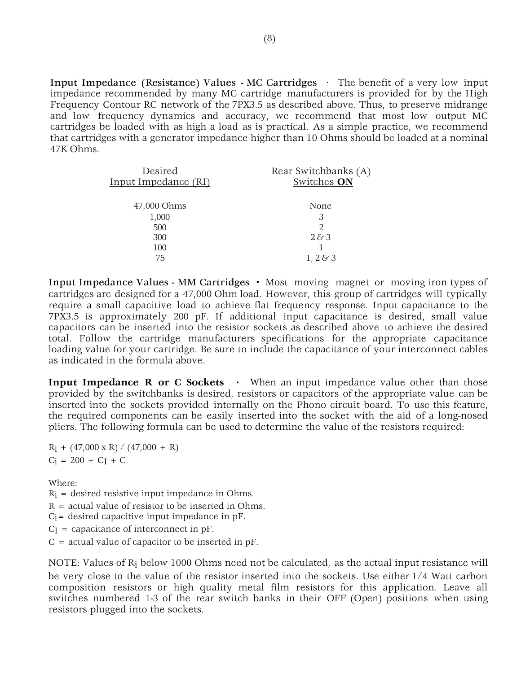Input Impedance (Resistance) Values - MC Cartridges · The benefit of a very low input impedance recommended by many MC cartridge manufacturers is provided for by the High Frequency Contour RC network of the 7PX3.5 as described above. Thus, to preserve midrange and low frequency dynamics and accuracy, we recommend that most low output MC cartridges be loaded with as high a load as is practical. As a simple practice, we recommend that cartridges with a generator impedance higher than 10 Ohms should be loaded at a nominal 47K Ohms.

| Desired<br>Input Impedance (RI) | Rear Switchbanks (A)<br>Switches ON |
|---------------------------------|-------------------------------------|
| 47,000 Ohms                     | None                                |
| 1,000                           | 3                                   |
| 500                             | 2                                   |
| 300                             | 283                                 |
| 100                             |                                     |
| 75                              | 1, 2 & 3                            |

Input Impedance Values - MM Cartridges **·** Most moving magnet or moving iron types of cartridges are designed for a 47,000 Ohm load. However, this group of cartridges will typically require a small capacitive load to achieve flat frequency response. Input capacitance to the 7PX3.5 is approximately 200 pF. If additional input capacitance is desired, small value capacitors can be inserted into the resistor sockets as described above to achieve the desired total. Follow the cartridge manufacturers specifications for the appropriate capacitance loading value for your cartridge. Be sure to include the capacitance of your interconnect cables as indicated in the formula above.

**Input Impedance R or C Sockets** • When an input impedance value other than those provided by the switchbanks is desired, resistors or capacitors of the appropriate value can be inserted into the sockets provided internally on the Phono circuit board. To use this feature, the required components can be easily inserted into the socket with the aid of a long-nosed pliers. The following formula can be used to determine the value of the resistors required:

 $R_i + (47,000 \times R) / (47,000 + R)$  $C_i = 200 + C_I + C$ 

Where:

 $R_i$  = desired resistive input impedance in Ohms.

 $R =$  actual value of resistor to be inserted in Ohms.

 $C_i$  = desired capacitive input impedance in pF.

 $C_I$  = capacitance of interconnect in pF.

 $C =$  actual value of capacitor to be inserted in pF.

NOTE: Values of Ri below 1000 Ohms need not be calculated, as the actual input resistance will be very close to the value of the resistor inserted into the sockets. Use either 1/4 Watt carbon composition resistors or high quality metal film resistors for this application. Leave all switches numbered 1-3 of the rear switch banks in their OFF (Open) positions when using resistors plugged into the sockets.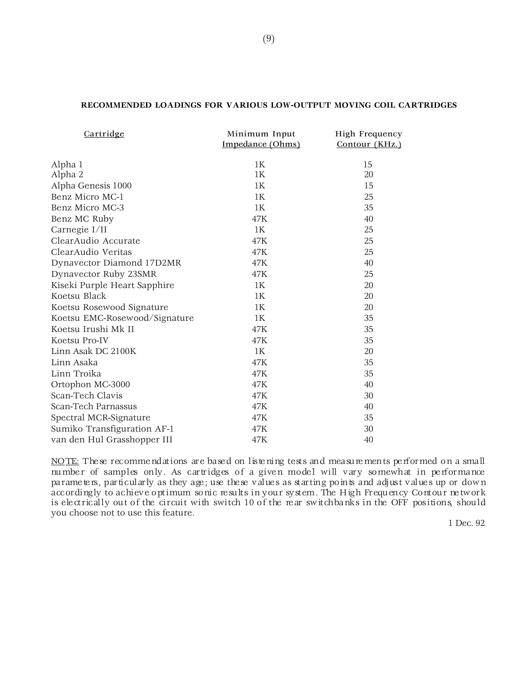# **RECOMMENDED LOADINGS FOR VARIOUS LOW-OUTPUT MOVING COIL CARTRIDGES**

| Cartridge                     | Minimum Input<br>Impedance (Ohms) | High Frequency<br>Contour (KHz.) |
|-------------------------------|-----------------------------------|----------------------------------|
| Alpha 1                       | 1K                                | 15                               |
| Alpha 2                       | 1K                                | 20                               |
| Alpha Genesis 1000            | 1K                                | 15                               |
| Benz Micro MC-1               | 1K                                | 25                               |
| Benz Micro MC-3               | 1K                                | 35                               |
| Benz MC Ruby                  | 47K                               | 40                               |
| Carnegie $I/II$               | 1K                                | 25                               |
| ClearAudio Accurate           | 47K                               | 25                               |
| ClearAudio Veritas            | 47K                               | 25                               |
| Dynavector Diamond 17D2MR     | 47K                               | 40                               |
| Dynavector Ruby 23SMR         | 47K                               | 25                               |
| Kiseki Purple Heart Sapphire  | 1K                                | 20                               |
| Koetsu Black                  | 1K                                | 20                               |
| Koetsu Rosewood Signature     | 1K                                | 20                               |
| Koetsu EMC-Rosewood/Signature | 1K                                | 35                               |
| Koetsu Irushi Mk II           | 47K                               | 35                               |
| Koetsu Pro-IV                 | 47K                               | 35                               |
| Linn Asak DC 2100K            | 1K                                | 20                               |
| Linn Asaka                    | 47K                               | 35                               |
| Linn Troika                   | 47K                               | 35                               |
| Ortophon MC-3000              | 47K                               | 40                               |
| Scan-Tech Clavis              | 47K                               | 30                               |
| Scan-Tech Parnassus           | 47K                               | 40                               |
| Spectral MCR-Signature        | 47K                               | 35                               |
| Sumiko Transfiguration AF-1   | 47K                               | 30                               |
| van den Hul Grasshopper III   | 47K                               | 40                               |

NOTE: These recommendations are based on listening tests and measurements performed on a small number of samples only. As cartridges of a given model will vary somewhat in performance parameters, particularly as they age; use these values as starting points and adjust values up or down accordingly to achieve optimum sonic results in your system. The High Frequency Contour network is electrically out of the circuit with switch 10 of the rear switchbanks in the OFF positions, should you choose not to use this feature.

1 Dec. 92